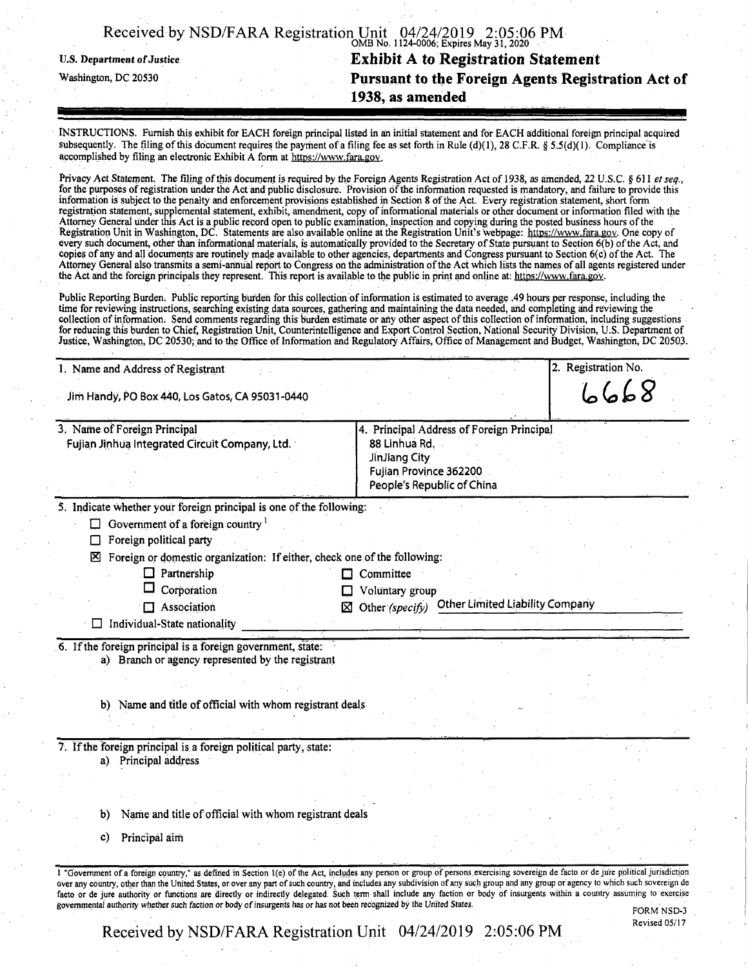| Received by NSD/FARA Registration Unit 04/24/2019 2:05:06 PM |                                         |  |
|--------------------------------------------------------------|-----------------------------------------|--|
|                                                              | OMB No. 1124-0006; Expires May 31, 2020 |  |

## **U.S. Department ofJustice Exhibit A to Registration Statement** Washington, dc <sup>20530</sup> **Pursuant to the Foreign Agents Registration Act of 1938, as amended**

INSTRUCTIONS. Furnish this exhibit for EACH foreign principal listed in ah initial statement and for EACH additional foreign principal acquired subsequently. The filing of this document requires the payment of a filing fee as set forth in Rule (d)(1), 28 C.F.R. § 5.5(d)(1). Compliance is accomplished by filing an electronic Exhibit A form at https://www.fara.gov.

Privacy Act Statement. The filing ofthis document is required by the Foreign Agents Registration Act of 1938, as amended, 22 U.S.C. **§611** *etseq*., for the purposes of registration under the Act and public disclosure. Provision of the information requested is mandatory, and failure to provide this information is subject to the penalty and enforcement provisions established in Section 8 ofthe Act. Every registration statement, short form registration statement, supplemental statement, exhibit, amendment, copy of informational materials or other document or information filed with the Attorney General under this Act is a public record Open to public examination, inspection and copying during the posted business hours ofthe Registration Unit in Washington, DC. Statements are also available online at the Registration Unit's webpage: https://www.fara.gov. One copy of every such document, other than informational materials, is automatically provided to the Secretary of State pursuant to Section 6(b) of the Act, and copies of any and all documents are routinely made available to other agencies, departments and Congress pursuant to Section 6(c) ofthe Act. The Attorney General also transmits a semi-annual report to Congress on the administration ofthe Act which lists the names of all agents registered under the Act and the foreign principals they represent. This report is available to the public in print and online at: https://www.fara.gov.

Public Reporting Burden. Public reporting burden for this collection ofinformation is estimated to average .49 hours per response, including the time for reviewing instructions, searching existing data sources, gathering and maintaining the data needed, and completing and reviewing the collection of information. Send comments regarding this burden estimate or any other aspect of this collection of information, including suggestions for reducing this burden to Chief, Registration Unit, Counterintelligence and Export Control Section, National Security Division, U.S. Department of<br>Justice, Washington, DC 20530: and to the Office of Information and Regul

| 1. Name and Address of Registrant<br>Jim Handy, PO Box 440, Los Gatos, CA 95031-0440                                                                                                                                                                                                                                                                                                                                                                                                                                                                                                                                                                                                  | 2. Registration No.<br>6668 |
|---------------------------------------------------------------------------------------------------------------------------------------------------------------------------------------------------------------------------------------------------------------------------------------------------------------------------------------------------------------------------------------------------------------------------------------------------------------------------------------------------------------------------------------------------------------------------------------------------------------------------------------------------------------------------------------|-----------------------------|
| 3. Name of Foreign Principal<br>4. Principal Address of Foreign Principal<br>Fujian Jinhua Integrated Circuit Company, Ltd.<br>88 Linhua Rd.<br>JinJiang City<br>Fujian Province 362200<br>People's Republic of China                                                                                                                                                                                                                                                                                                                                                                                                                                                                 |                             |
| 5. Indicate whether your foreign principal is one of the following:<br>Government of a foreign country $1$<br>Foreign political party<br>Foreign or domestic organization: If either, check one of the following:<br><b>x</b><br>$\Box$ Partnership<br>Committee<br>Corporation<br>Voluntary group                                                                                                                                                                                                                                                                                                                                                                                    |                             |
| <b>Other Limited Liability Company</b><br>Association<br>Other (specify)<br>⊠<br>Individual-State nationality                                                                                                                                                                                                                                                                                                                                                                                                                                                                                                                                                                         |                             |
| 6. If the foreign principal is a foreign government, state:<br>a) Branch or agency represented by the registrant<br>Name and title of official with whom registrant deals<br>b)                                                                                                                                                                                                                                                                                                                                                                                                                                                                                                       |                             |
| 7. If the foreign principal is a foreign political party, state:<br>a) Principal address<br>Name and title of official with whom registrant deals<br>b)<br>Principal aim<br>C)                                                                                                                                                                                                                                                                                                                                                                                                                                                                                                        |                             |
| 1 "Government of a foreign country," as defined in Section 1(e) of the Act, includes any person or group of persons exercising sovereign de facto or de jure political jurisdiction<br>over any country, other than the United States, or over any part of such country, and includes any subdivision of any such group and any group or agency to which such sovereign de<br>facto or de jure authority or functions are directly or indirectly delegated. Such term shall include any faction or body of insurgents within a country assuming to exercise<br>governmental authority whether such faction or body of insurgents has or has not been recognized by the United States. |                             |

Revised 05/17

Received by NSD/FARA Registration Unit 04/24/2019 2:05:06 PM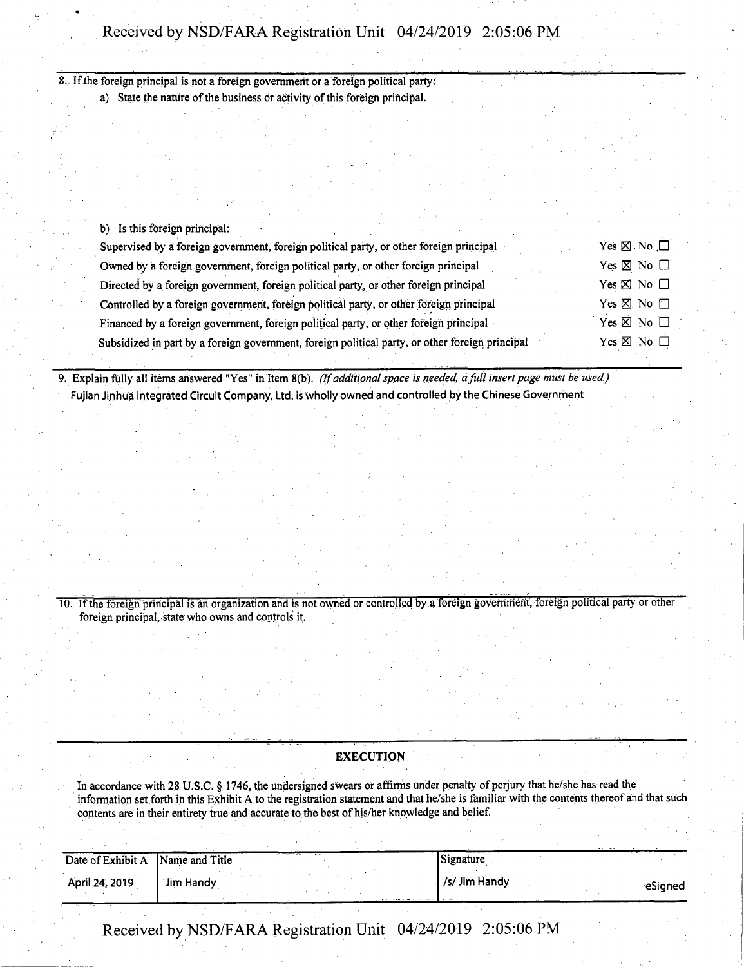## Received by NSD/FARA Registration Unit 04/24/2019 2:05:06 PM

**8. Ifthe foreign principal is not a foreign government or a foreign political party:** a) State the nature of the business or activity of this foreign principal.

| b) Is this foreign principal:                                                                   |                           |
|-------------------------------------------------------------------------------------------------|---------------------------|
| Supervised by a foreign government, foreign political party, or other foreign principal         | Yes $\times$ No $\square$ |
| Owned by a foreign government, foreign political party, or other foreign principal              | Yes $\times$ No $\Box$    |
| Directed by a foreign government, foreign political party, or other foreign principal           | Yes $\times$ No $\Box$    |
| Controlled by a foreign government, foreign political party, or other foreign principal         | Yes $\times$ No $\Box$    |
| Financed by a foreign government, foreign political party, or other foreign principal           | Yes $\times$ No $\square$ |
| Subsidized in part by a foreign government, foreign political party, or other foreign principal | Yes $\boxtimes$ No $\Box$ |
|                                                                                                 |                           |

9. Explain fully all items answered "Yes" in Item 8(b). (If additional space is needed, a full insert page must be used.) **Fujian Jinhua Integrated Circuit Company, Ltd. is wholly owned and controlled by the Chinese Government**

10. If the foreign principal is an organization and is not owned or controlled by a foreign government, foreign political party or other **foreign principal, state who owns and controls it.**

| <b>EXECUTION</b> |  |
|------------------|--|
|                  |  |

In accordance with 28 U.S.C. § 1746, the undersigned swears or affirms under penalty of perjury that he/she has read the information set forth in this Exhibit A to the registration statement and that he/she is familiar with the contents thereof and that such **contents are in their entirety true and accurate to the best ofhis/her knowledge and belief.**

| Date of Exhibit A Name and Title |           | Signature     |           |
|----------------------------------|-----------|---------------|-----------|
| April 24, 2019                   | Jim Handy | /s/ Jim Handy | eSianed - |

Received by NSD/FARA Registration Unit 04/24/2019 2:05:06 PM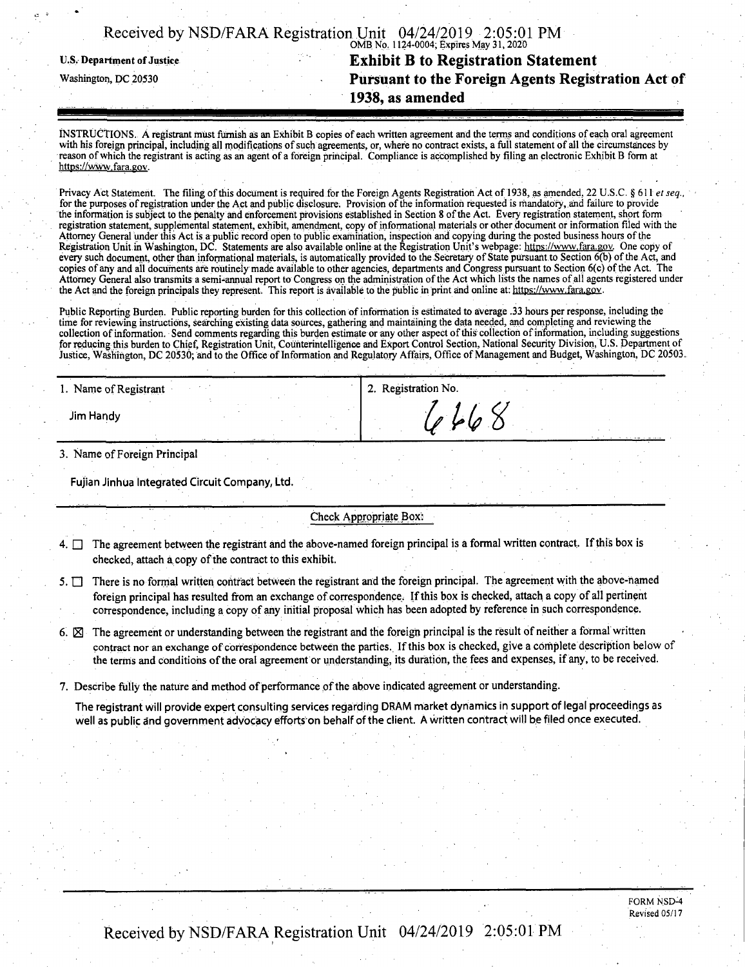| Received by NSD/FARA Registration Unit 04/24/2019 2:05:01 PM |                                         |  |
|--------------------------------------------------------------|-----------------------------------------|--|
|                                                              |                                         |  |
|                                                              |                                         |  |
|                                                              | OMB No. 1124-0004; Expires May 31, 2020 |  |

## **u.s. Department ofjustice Exhibit B to Registration Statement Washington, dc <sup>20530</sup> Pursuant to the Foreign Agents Registration Act of 1938, as amended**

INSTRUCTIONS. A registrant must furnish as an Exhibit B copies of each written agreement and the terms and conditions of each oral agreement with his foreign principal, including all modifications of such agreements, or, where no contract exists, a full statement of all the circumstances by reason of which the registrant is acting as an agent of a foreign principal. Compliance is accomplished by filing an electronic Exhibit B form at **https://www.fara.gov.**

Privacy Act Statement. The filing of this document is required for the Foreign Agents Registration Act of 1938, as amended, 22 U.S.C. § 611 et seq., for the purposes of registration under the Act and public disclosure. Provision of the information requested is mandatory, and failure to provide the information is subject to the penalty and enforcement provisions established in Section 8 of the Act. Every registration statement, short form registration statement, supplemental statement, exhibit, amendment, copy of informational materials or other document or information filed with the Attorney General under this Act is a public record open to public examination, inspection and copying during the posted business hours of the Registration Unit in Washington, DC. Statements are also available online at the Registration Unit's webpage: https://www.fara.gov. One copy of every such document, other than informational materials, is automatically provided to the Secretary of State pursuant to Section 6(b) of the Act, and copies of any and all documents are routinely made available to other agencies, departments and Congress pursuant to Section 6(c) of the Act. The Attorney General also transmits a semi-annual report to Congress on the administration of the Act which lists the names of all agents registered under the Act and the foreign principals they represent. This report is available to the public in print and online at: https://www.fara.gov.

Public Reporting Burden. Public reporting burden for this collection of information is estimated to average .33 hours per response, including the time for reviewing instructions, searching existing data sources, gathering and maintaining the data needed, and completing and reviewing the collection of information. Send comments regarding this burden estimate or any other aspect of this collection of information, including suggestions for reducing this burden to Chief, Registration Unit, Counterintelligence and Export Control Section, National Security Division, U.S. Department of Justice, Washington, DC 20530; and to the Office of Information and Regulatory Affairs, Office of Management and Budget, Washington, DC 20503.

| 1. Name of Registrant |  | $\overline{\phantom{a}}$<br>2. Registration No. |  |
|-----------------------|--|-------------------------------------------------|--|
| Jim Handy             |  | 1060                                            |  |

**3. Name ofForeign Principal**

**Fujian Jinhua integrated Circuit Company, Ltd.**

**Check Appropriate Box;**

4.  $\Box$  The agreement between the registrant and the above-named foreign principal is a formal written contract. If this box is **checked,** attach a copy of the contract to this exhibit.

5.  $\Box$  There is no formal written contract between the registrant and the foreign principal. The agreement with the above-named foreign principal has resulted from an exchange of correspondence. If this box is checked, attach a copy of all pertinent **correspondence, including a copy ofany initial proposal which has been adopted by reference in such correspondence.**

6.  $\boxtimes$  The agreement or understanding between the registrant and the foreign principal is the result of neither a formal written contract nor an exchange of correspondence between the parties. If this box is checked, give a complete description below of the terms and conditions of the oral agreement or understanding, its duration, the fees and expenses, if any, to be received.

**7. Describe fully the nature and method ofperformance ofthe above indicated agreement or understanding.**

The registrant will provide expert consulting services regarding DRAM market dynamics in support of legal proceedings as well as public and government advocacy efforts on behalf of the client. A written contract will be filed once executed.

> FORM NSD-4 Revised 05/17

Received by NSD/FARA Registration Unit 04/24/2019 2:05:01 PM